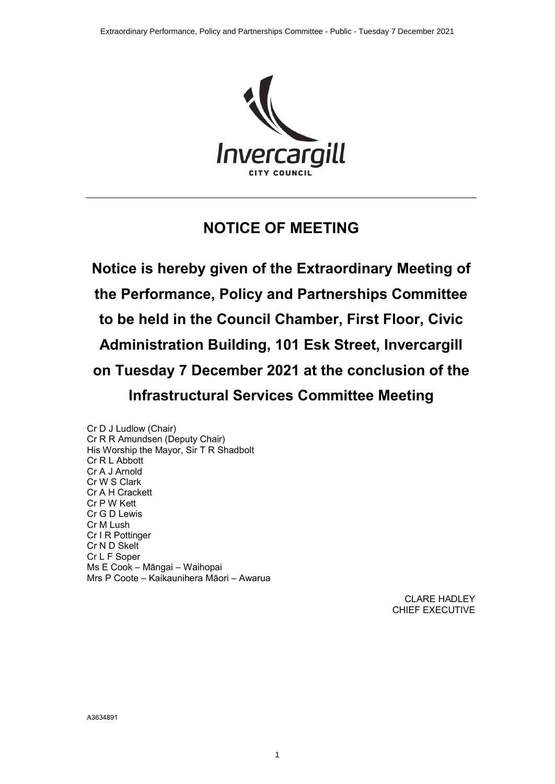

# **NOTICE OF MEETING**

**Notice is hereby given of the Extraordinary Meeting of the Performance, Policy and Partnerships Committee to be held in the Council Chamber, First Floor, Civic Administration Building, 101 Esk Street, Invercargill on Tuesday 7 December 2021 at the conclusion of the Infrastructural Services Committee Meeting**

1

Cr D J Ludlow (Chair) Cr R R Amundsen (Deputy Chair) His Worship the Mayor, Sir T R Shadbolt Cr R L Abbott Cr A J Arnold Cr W S Clark Cr A H Crackett Cr P W Kett Cr G D Lewis Cr M Lush Cr I R Pottinger Cr N D Skelt Cr L F Soper Ms E Cook – Māngai – Waihopai Mrs P Coote – Kaikaunihera Māori – Awarua

> CLARE HADLEY CHIEF EXECUTIVE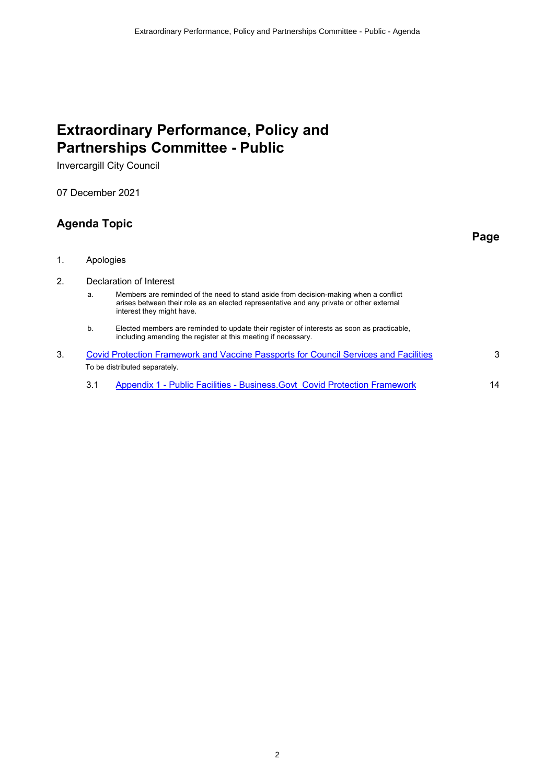# **Extraordinary Performance, Policy and Partnerships Committee - Public**

Invercargill City Council

07 December 2021

# **Agenda Topic**

**Page**

- 1. Apologies
- 2. Declaration of Interest
	- a. Members are reminded of the need to stand aside from decision-making when a conflict arises between their role as an elected representative and any private or other external interest they might have.
	- b. Elected members are reminded to update their register of interests as soon as practicable, including amending the register at this meeting if necessary.
- 3. [Covid Protection Framework and Vaccine Passports for Council Services and Facilities](#page-2-0) 3 To be distributed separately.
	- 3.1 [Appendix 1 Public Facilities Business.Govt\\_Covid Protection Framework](#page-13-0) 14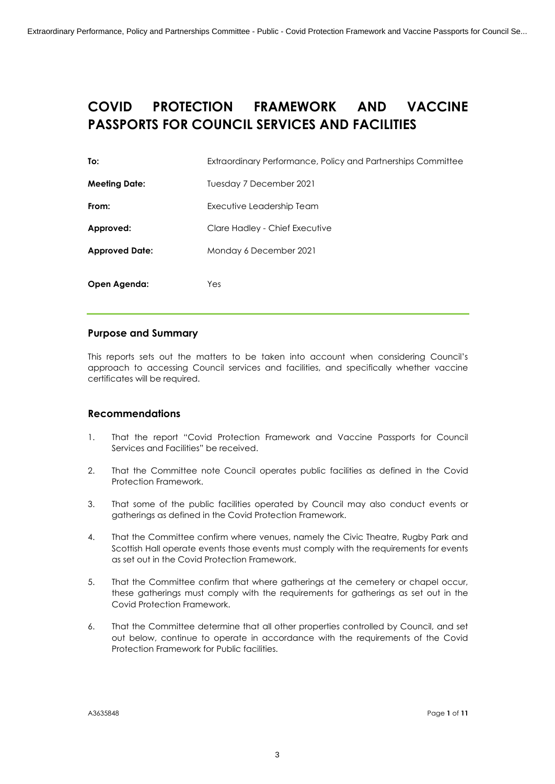# <span id="page-2-0"></span>**COVID PROTECTION FRAMEWORK AND VACCINE PASSPORTS FOR COUNCIL SERVICES AND FACILITIES**

| To:                   | Extraordinary Performance, Policy and Partnerships Committee |
|-----------------------|--------------------------------------------------------------|
| <b>Meeting Date:</b>  | Tuesday 7 December 2021                                      |
| From:                 | Executive Leadership Team                                    |
| Approved:             | Clare Hadley - Chief Executive                               |
| <b>Approved Date:</b> | Monday 6 December 2021                                       |
| Open Agenda:          | Yes                                                          |

## **Purpose and Summary**

This reports sets out the matters to be taken into account when considering Council's approach to accessing Council services and facilities, and specifically whether vaccine certificates will be required.

## **Recommendations**

- 1. That the report "Covid Protection Framework and Vaccine Passports for Council Services and Facilities" be received.
- 2. That the Committee note Council operates public facilities as defined in the Covid Protection Framework.
- 3. That some of the public facilities operated by Council may also conduct events or gatherings as defined in the Covid Protection Framework.
- 4. That the Committee confirm where venues, namely the Civic Theatre, Rugby Park and Scottish Hall operate events those events must comply with the requirements for events as set out in the Covid Protection Framework.
- 5. That the Committee confirm that where gatherings at the cemetery or chapel occur, these gatherings must comply with the requirements for gatherings as set out in the Covid Protection Framework.
- 6. That the Committee determine that all other properties controlled by Council, and set out below, continue to operate in accordance with the requirements of the Covid Protection Framework for Public facilities.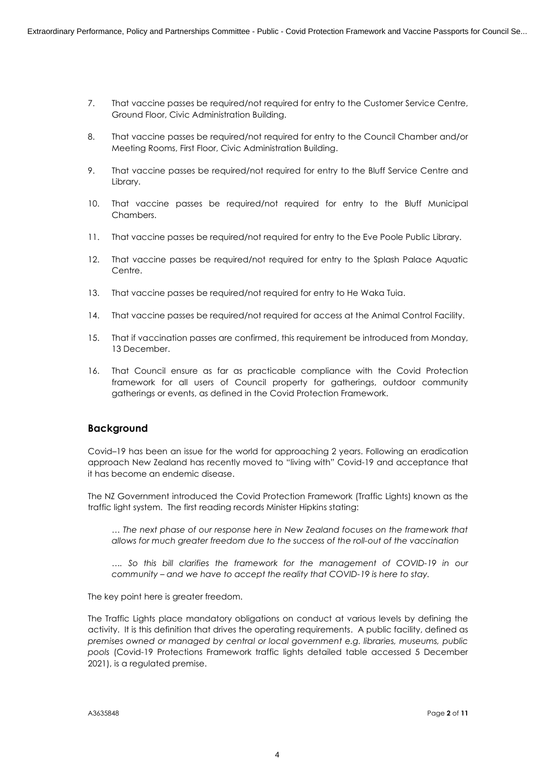- 7. That vaccine passes be required/not required for entry to the Customer Service Centre, Ground Floor, Civic Administration Building.
- 8. That vaccine passes be required/not required for entry to the Council Chamber and/or Meeting Rooms, First Floor, Civic Administration Building.
- 9. That vaccine passes be required/not required for entry to the Bluff Service Centre and Library.
- 10. That vaccine passes be required/not required for entry to the Bluff Municipal Chambers.
- 11. That vaccine passes be required/not required for entry to the Eve Poole Public Library.
- 12. That vaccine passes be required/not required for entry to the Splash Palace Aquatic Centre.
- 13. That vaccine passes be required/not required for entry to He Waka Tuia.
- 14. That vaccine passes be required/not required for access at the Animal Control Facility.
- 15. That if vaccination passes are confirmed, this requirement be introduced from Monday, 13 December.
- 16. That Council ensure as far as practicable compliance with the Covid Protection framework for all users of Council property for gatherings, outdoor community gatherings or events, as defined in the Covid Protection Framework.

### **Background**

Covid–19 has been an issue for the world for approaching 2 years. Following an eradication approach New Zealand has recently moved to "living with" Covid-19 and acceptance that it has become an endemic disease.

The NZ Government introduced the Covid Protection Framework (Traffic Lights) known as the traffic light system. The first reading records Minister Hipkins stating:

*… The next phase of our response here in New Zealand focuses on the framework that allows for much greater freedom due to the success of the roll-out of the vaccination*

*…. So this bill clarifies the framework for the management of COVID-19 in our community – and we have to accept the reality that COVID-19 is here to stay.*

The key point here is greater freedom.

The Traffic Lights place mandatory obligations on conduct at various levels by defining the activity. It is this definition that drives the operating requirements. A public facility, defined as *premises owned or managed by central or local government e.g. libraries, museums, public pools* (Covid-19 Protections Framework traffic lights detailed table accessed 5 December 2021), is a regulated premise.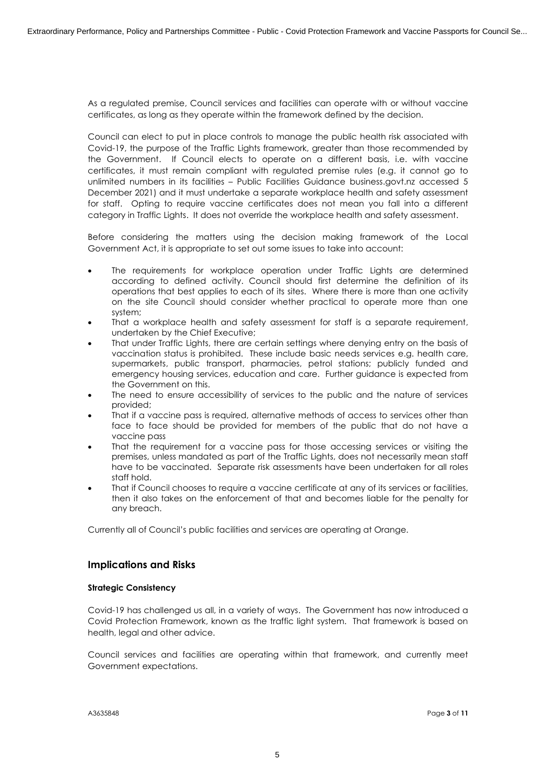As a regulated premise, Council services and facilities can operate with or without vaccine certificates, as long as they operate within the framework defined by the decision.

Council can elect to put in place controls to manage the public health risk associated with Covid-19, the purpose of the Traffic Lights framework, greater than those recommended by the Government. If Council elects to operate on a different basis, i.e. with vaccine certificates, it must remain compliant with regulated premise rules (e.g. it cannot go to unlimited numbers in its facilities – Public Facilities Guidance business.govt.nz accessed 5 December 2021) and it must undertake a separate workplace health and safety assessment for staff. Opting to require vaccine certificates does not mean you fall into a different category in Traffic Lights. It does not override the workplace health and safety assessment.

Before considering the matters using the decision making framework of the Local Government Act, it is appropriate to set out some issues to take into account:

- The requirements for workplace operation under Traffic Lights are determined according to defined activity. Council should first determine the definition of its operations that best applies to each of its sites. Where there is more than one activity on the site Council should consider whether practical to operate more than one system;
- That a workplace health and safety assessment for staff is a separate requirement, undertaken by the Chief Executive;
- That under Traffic Lights, there are certain settings where denying entry on the basis of vaccination status is prohibited. These include basic needs services e.g. health care, supermarkets, public transport, pharmacies, petrol stations; publicly funded and emergency housing services, education and care. Further guidance is expected from the Government on this.
- The need to ensure accessibility of services to the public and the nature of services provided;
- ∑ That if a vaccine pass is required, alternative methods of access to services other than face to face should be provided for members of the public that do not have a vaccine pass
- That the requirement for a vaccine pass for those accessing services or visiting the premises, unless mandated as part of the Traffic Lights, does not necessarily mean staff have to be vaccinated. Separate risk assessments have been undertaken for all roles staff hold.
- That if Council chooses to require a vaccine certificate at any of its services or facilities, then it also takes on the enforcement of that and becomes liable for the penalty for any breach.

Currently all of Council's public facilities and services are operating at Orange.

## **Implications and Risks**

### **Strategic Consistency**

Covid-19 has challenged us all, in a variety of ways. The Government has now introduced a Covid Protection Framework, known as the traffic light system. That framework is based on health, legal and other advice.

Council services and facilities are operating within that framework, and currently meet Government expectations.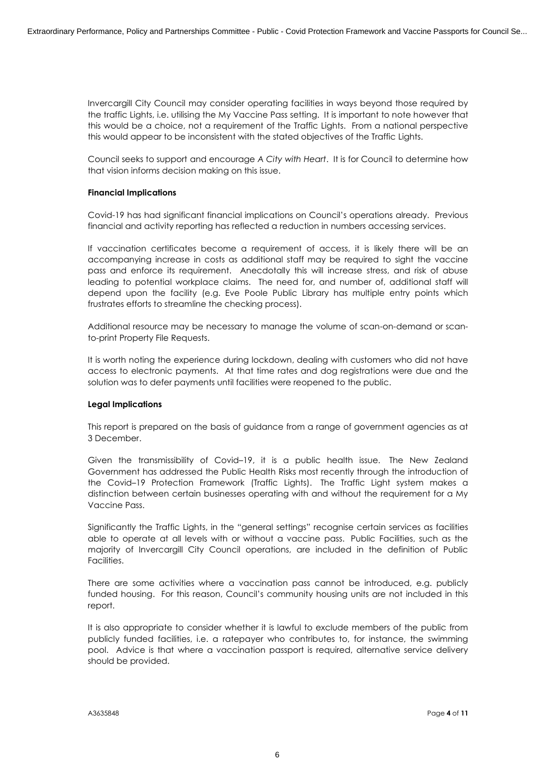Invercargill City Council may consider operating facilities in ways beyond those required by the traffic Lights, i.e. utilising the My Vaccine Pass setting. It is important to note however that this would be a choice, not a requirement of the Traffic Lights. From a national perspective this would appear to be inconsistent with the stated objectives of the Traffic Lights.

Council seeks to support and encourage *A City with Heart*. It is for Council to determine how that vision informs decision making on this issue.

#### **Financial Implications**

Covid-19 has had significant financial implications on Council's operations already. Previous financial and activity reporting has reflected a reduction in numbers accessing services.

If vaccination certificates become a requirement of access, it is likely there will be an accompanying increase in costs as additional staff may be required to sight the vaccine pass and enforce its requirement. Anecdotally this will increase stress, and risk of abuse leading to potential workplace claims. The need for, and number of, additional staff will depend upon the facility (e.g. Eve Poole Public Library has multiple entry points which frustrates efforts to streamline the checking process).

Additional resource may be necessary to manage the volume of scan-on-demand or scanto-print Property File Requests.

It is worth noting the experience during lockdown, dealing with customers who did not have access to electronic payments. At that time rates and dog registrations were due and the solution was to defer payments until facilities were reopened to the public.

### **Legal Implications**

This report is prepared on the basis of guidance from a range of government agencies as at 3 December.

Given the transmissibility of Covid–19, it is a public health issue. The New Zealand Government has addressed the Public Health Risks most recently through the introduction of the Covid–19 Protection Framework (Traffic Lights). The Traffic Light system makes a distinction between certain businesses operating with and without the requirement for a My Vaccine Pass.

Significantly the Traffic Lights, in the "general settings" recognise certain services as facilities able to operate at all levels with or without a vaccine pass. Public Facilities, such as the majority of Invercargill City Council operations, are included in the definition of Public Facilities.

There are some activities where a vaccination pass cannot be introduced, e.g. publicly funded housing. For this reason, Council's community housing units are not included in this report.

It is also appropriate to consider whether it is lawful to exclude members of the public from publicly funded facilities, i.e. a ratepayer who contributes to, for instance, the swimming pool. Advice is that where a vaccination passport is required, alternative service delivery should be provided.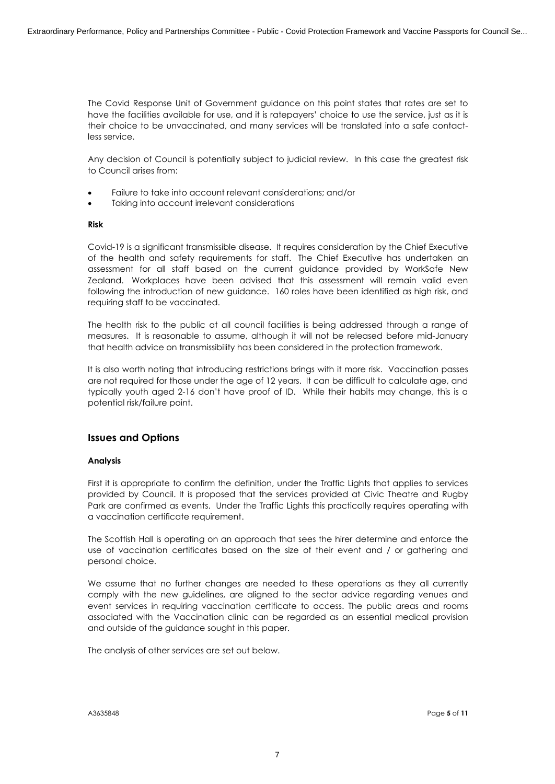The Covid Response Unit of Government guidance on this point states that rates are set to have the facilities available for use, and it is ratepayers' choice to use the service, just as it is their choice to be unvaccinated, and many services will be translated into a safe contactless service.

Any decision of Council is potentially subject to judicial review. In this case the greatest risk to Council arises from:

- Failure to take into account relevant considerations; and/or
- Taking into account irrelevant considerations

#### **Risk**

Covid-19 is a significant transmissible disease. It requires consideration by the Chief Executive of the health and safety requirements for staff. The Chief Executive has undertaken an assessment for all staff based on the current guidance provided by WorkSafe New Zealand. Workplaces have been advised that this assessment will remain valid even following the introduction of new guidance. 160 roles have been identified as high risk, and requiring staff to be vaccinated.

The health risk to the public at all council facilities is being addressed through a range of measures. It is reasonable to assume, although it will not be released before mid-January that health advice on transmissibility has been considered in the protection framework.

It is also worth noting that introducing restrictions brings with it more risk. Vaccination passes are not required for those under the age of 12 years. It can be difficult to calculate age, and typically youth aged 2-16 don't have proof of ID. While their habits may change, this is a potential risk/failure point.

## **Issues and Options**

### **Analysis**

First it is appropriate to confirm the definition, under the Traffic Lights that applies to services provided by Council. It is proposed that the services provided at Civic Theatre and Rugby Park are confirmed as events. Under the Traffic Lights this practically requires operating with a vaccination certificate requirement.

The Scottish Hall is operating on an approach that sees the hirer determine and enforce the use of vaccination certificates based on the size of their event and / or gathering and personal choice.

We assume that no further changes are needed to these operations as they all currently comply with the new guidelines, are aligned to the sector advice regarding venues and event services in requiring vaccination certificate to access. The public areas and rooms associated with the Vaccination clinic can be regarded as an essential medical provision and outside of the guidance sought in this paper.

The analysis of other services are set out below.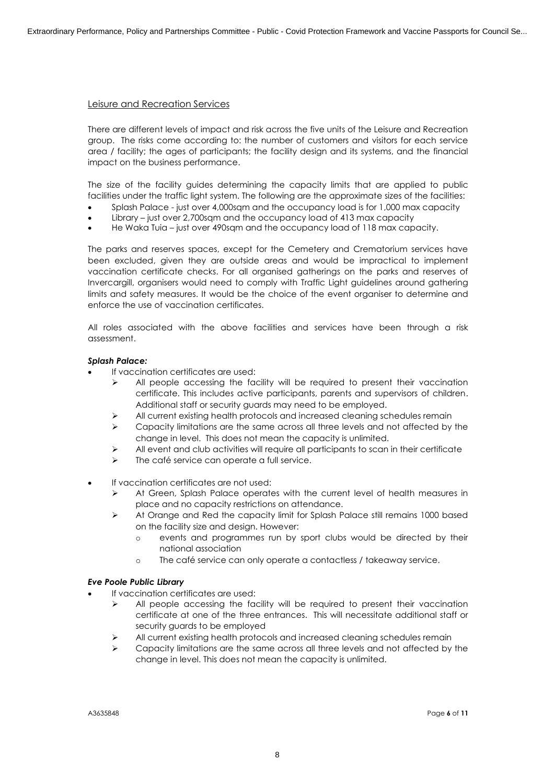### Leisure and Recreation Services

There are different levels of impact and risk across the five units of the Leisure and Recreation group. The risks come according to: the number of customers and visitors for each service area / facility; the ages of participants; the facility design and its systems, and the financial impact on the business performance.

The size of the facility guides determining the capacity limits that are applied to public facilities under the traffic light system. The following are the approximate sizes of the facilities:

- ∑ Splash Palace just over 4,000sqm and the occupancy load is for 1,000 max capacity
- Library just over 2,700sqm and the occupancy load of 413 max capacity
- He Waka Tuia just over 490sqm and the occupancy load of 118 max capacity.

The parks and reserves spaces, except for the Cemetery and Crematorium services have been excluded, given they are outside areas and would be impractical to implement vaccination certificate checks. For all organised gatherings on the parks and reserves of Invercargill, organisers would need to comply with Traffic Light guidelines around gathering limits and safety measures. It would be the choice of the event organiser to determine and enforce the use of vaccination certificates.

All roles associated with the above facilities and services have been through a risk assessment.

#### *Splash Palace:*

- If vaccination certificates are used:
	- $\triangleright$  All people accessing the facility will be required to present their vaccination certificate. This includes active participants, parents and supervisors of children. Additional staff or security guards may need to be employed.
	- $\triangleright$  All current existing health protocols and increased cleaning schedules remain
	- $\triangleright$  Capacity limitations are the same across all three levels and not affected by the change in level. This does not mean the capacity is unlimited.
	- $\triangleright$  All event and club activities will require all participants to scan in their certificate
	- $\triangleright$  The café service can operate a full service.
- If vaccination certificates are not used:
	- $\triangleright$  At Green, Splash Palace operates with the current level of health measures in place and no capacity restrictions on attendance.
	- $\triangleright$  At Orange and Red the capacity limit for Splash Palace still remains 1000 based on the facility size and design. However:
		- o events and programmes run by sport clubs would be directed by their national association
		- o The café service can only operate a contactless / takeaway service.

#### *Eve Poole Public Library*

- If vaccination certificates are used:
	- $\triangleright$  All people accessing the facility will be required to present their vaccination certificate at one of the three entrances. This will necessitate additional staff or security guards to be employed
	- $\triangleright$  All current existing health protocols and increased cleaning schedules remain
	- $\triangleright$  Capacity limitations are the same across all three levels and not affected by the change in level. This does not mean the capacity is unlimited.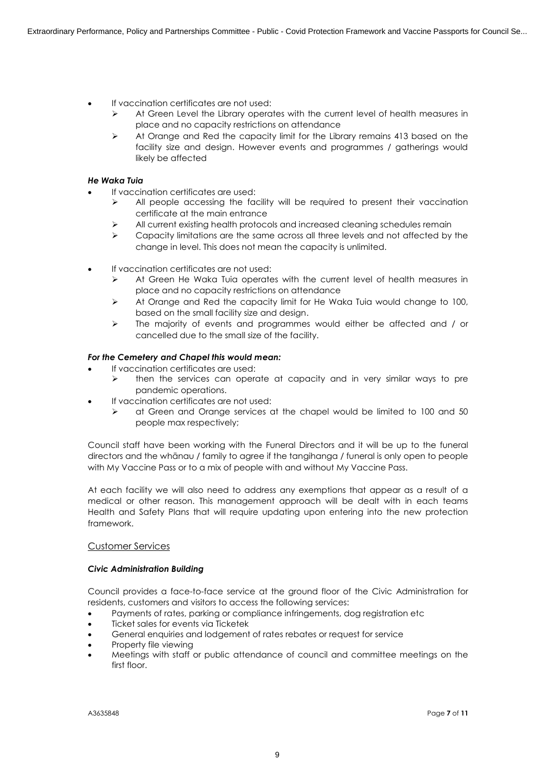- ∑ If vaccination certificates are not used:
	- $\triangleright$  At Green Level the Library operates with the current level of health measures in place and no capacity restrictions on attendance
	- $\triangleright$  At Orange and Red the capacity limit for the Library remains 413 based on the facility size and design. However events and programmes / gatherings would likely be affected

### *He Waka Tuia*

- ∑ If vaccination certificates are used:
	- $\triangleright$  All people accessing the facility will be required to present their vaccination certificate at the main entrance
	- $\triangleright$  All current existing health protocols and increased cleaning schedules remain
	- $\triangleright$  Capacity limitations are the same across all three levels and not affected by the change in level. This does not mean the capacity is unlimited.
- If vaccination certificates are not used:
	- $\triangleright$  At Green He Waka Tuia operates with the current level of health measures in place and no capacity restrictions on attendance
	- $\triangleright$  At Orange and Red the capacity limit for He Waka Tuia would change to 100, based on the small facility size and design.
	- $\triangleright$  The majority of events and programmes would either be affected and / or cancelled due to the small size of the facility.

### *For the Cemetery and Chapel this would mean:*

- If vaccination certificates are used:
	- $\triangleright$  then the services can operate at capacity and in very similar ways to pre pandemic operations.
- If vaccination certificates are not used:
	- $\triangleright$  at Green and Orange services at the chapel would be limited to 100 and 50 people max respectively;

Council staff have been working with the Funeral Directors and it will be up to the funeral directors and the whānau / family to agree if the tangihanga / funeral is only open to people with My Vaccine Pass or to a mix of people with and without My Vaccine Pass.

At each facility we will also need to address any exemptions that appear as a result of a medical or other reason. This management approach will be dealt with in each teams Health and Safety Plans that will require updating upon entering into the new protection framework.

### Customer Services

### *Civic Administration Building*

Council provides a face-to-face service at the ground floor of the Civic Administration for residents, customers and visitors to access the following services:

- Payments of rates, parking or compliance infringements, dog registration etc.
- ∑ Ticket sales for events via Ticketek
- ∑ General enquiries and lodgement of rates rebates or request for service
- ∑ Property file viewing
- ∑ Meetings with staff or public attendance of council and committee meetings on the first floor.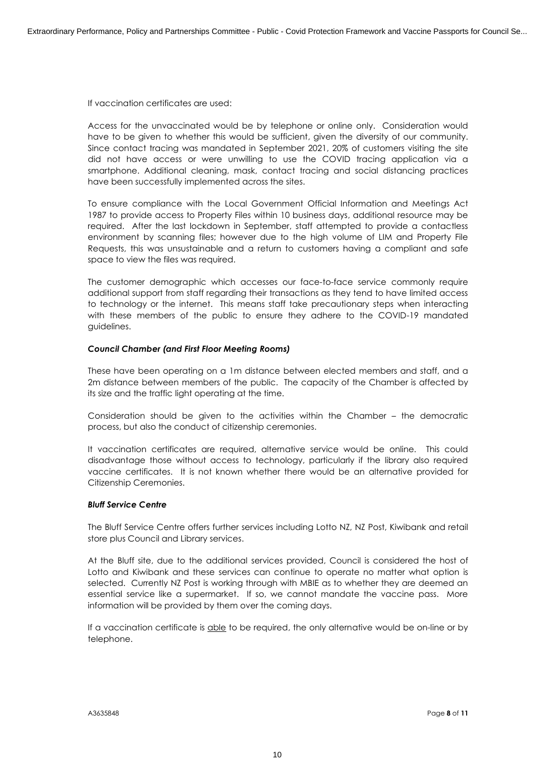If vaccination certificates are used:

Access for the unvaccinated would be by telephone or online only. Consideration would have to be given to whether this would be sufficient, given the diversity of our community. Since contact tracing was mandated in September 2021, 20% of customers visiting the site did not have access or were unwilling to use the COVID tracing application via a smartphone. Additional cleaning, mask, contact tracing and social distancing practices have been successfully implemented across the sites.

To ensure compliance with the Local Government Official Information and Meetings Act 1987 to provide access to Property Files within 10 business days, additional resource may be required. After the last lockdown in September, staff attempted to provide a contactless environment by scanning files; however due to the high volume of LIM and Property File Requests, this was unsustainable and a return to customers having a compliant and safe space to view the files was required.

The customer demographic which accesses our face-to-face service commonly require additional support from staff regarding their transactions as they tend to have limited access to technology or the internet. This means staff take precautionary steps when interacting with these members of the public to ensure they adhere to the COVID-19 mandated guidelines.

### *Council Chamber (and First Floor Meeting Rooms)*

These have been operating on a 1m distance between elected members and staff, and a 2m distance between members of the public. The capacity of the Chamber is affected by its size and the traffic light operating at the time.

Consideration should be given to the activities within the Chamber – the democratic process, but also the conduct of citizenship ceremonies.

It vaccination certificates are required, alternative service would be online. This could disadvantage those without access to technology, particularly if the library also required vaccine certificates. It is not known whether there would be an alternative provided for Citizenship Ceremonies.

#### *Bluff Service Centre*

The Bluff Service Centre offers further services including Lotto NZ, NZ Post, Kiwibank and retail store plus Council and Library services.

At the Bluff site, due to the additional services provided, Council is considered the host of Lotto and Kiwibank and these services can continue to operate no matter what option is selected. Currently NZ Post is working through with MBIE as to whether they are deemed an essential service like a supermarket. If so, we cannot mandate the vaccine pass. More information will be provided by them over the coming days.

If a vaccination certificate is able to be required, the only alternative would be on-line or by telephone.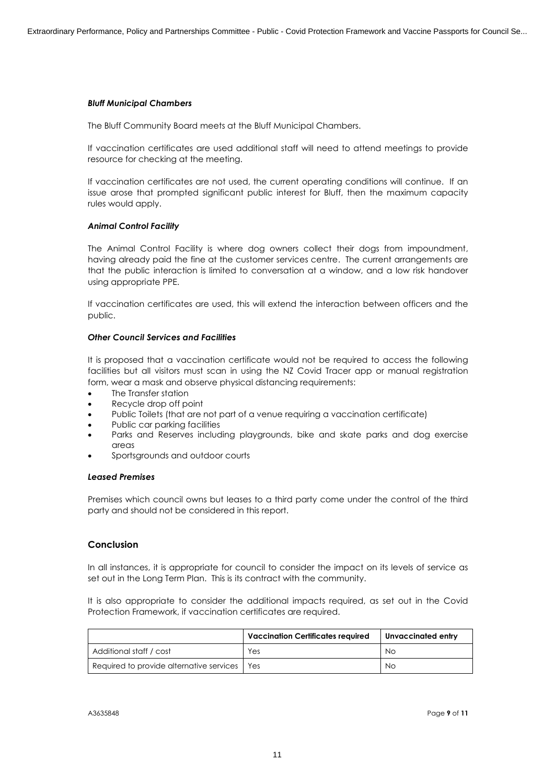#### *Bluff Municipal Chambers*

The Bluff Community Board meets at the Bluff Municipal Chambers.

If vaccination certificates are used additional staff will need to attend meetings to provide resource for checking at the meeting.

If vaccination certificates are not used, the current operating conditions will continue. If an issue arose that prompted significant public interest for Bluff, then the maximum capacity rules would apply.

#### *Animal Control Facility*

The Animal Control Facility is where dog owners collect their dogs from impoundment, having already paid the fine at the customer services centre. The current arrangements are that the public interaction is limited to conversation at a window, and a low risk handover using appropriate PPE.

If vaccination certificates are used, this will extend the interaction between officers and the public.

### *Other Council Services and Facilities*

It is proposed that a vaccination certificate would not be required to access the following facilities but all visitors must scan in using the NZ Covid Tracer app or manual registration form, wear a mask and observe physical distancing requirements:

- The Transfer station
- Recycle drop off point
- Public Toilets (that are not part of a venue requiring a vaccination certificate)
- Public car parking facilities
- Parks and Reserves including playgrounds, bike and skate parks and dog exercise areas
- ∑ Sportsgrounds and outdoor courts

#### *Leased Premises*

Premises which council owns but leases to a third party come under the control of the third party and should not be considered in this report.

### **Conclusion**

In all instances, it is appropriate for council to consider the impact on its levels of service as set out in the Long Term Plan. This is its contract with the community.

It is also appropriate to consider the additional impacts required, as set out in the Covid Protection Framework, if vaccination certificates are required.

|                                          | <b>Vaccination Certificates required</b> | Unvaccinated entry |
|------------------------------------------|------------------------------------------|--------------------|
| Additional staff / cost                  | Yes                                      | No                 |
| Required to provide alternative services | Yes                                      | No.                |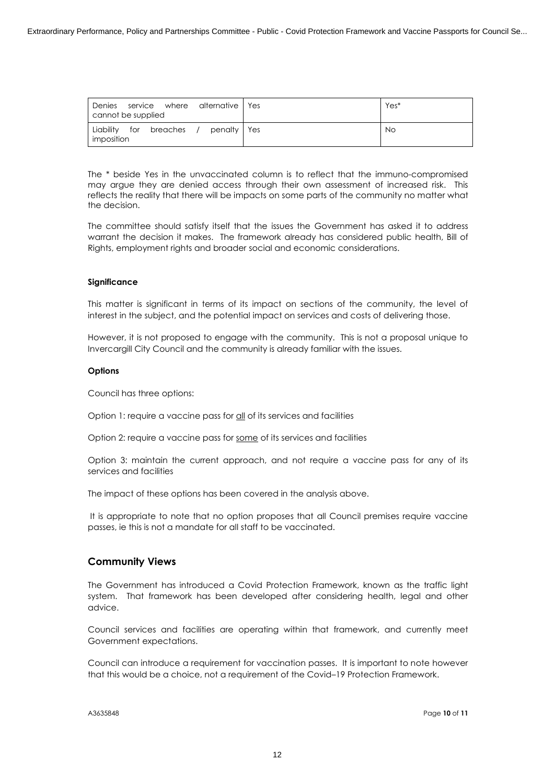| Denies service where alternative Yes<br>cannot be supplied |             | Yes*      |
|------------------------------------------------------------|-------------|-----------|
| Liability for breaches<br>imposition                       | penalty Pes | <b>No</b> |

The \* beside Yes in the unvaccinated column is to reflect that the immuno-compromised may argue they are denied access through their own assessment of increased risk. This reflects the reality that there will be impacts on some parts of the community no matter what the decision.

The committee should satisfy itself that the issues the Government has asked it to address warrant the decision it makes. The framework already has considered public health, Bill of Rights, employment rights and broader social and economic considerations.

#### **Significance**

This matter is significant in terms of its impact on sections of the community, the level of interest in the subject, and the potential impact on services and costs of delivering those.

However, it is not proposed to engage with the community. This is not a proposal unique to Invercargill City Council and the community is already familiar with the issues.

#### **Options**

Council has three options:

Option 1: require a vaccine pass for all of its services and facilities

Option 2: require a vaccine pass for some of its services and facilities

Option 3: maintain the current approach, and not require a vaccine pass for any of its services and facilities

The impact of these options has been covered in the analysis above.

It is appropriate to note that no option proposes that all Council premises require vaccine passes, ie this is not a mandate for all staff to be vaccinated.

## **Community Views**

The Government has introduced a Covid Protection Framework, known as the traffic light system. That framework has been developed after considering health, legal and other advice.

Council services and facilities are operating within that framework, and currently meet Government expectations.

Council can introduce a requirement for vaccination passes. It is important to note however that this would be a choice, not a requirement of the Covid–19 Protection Framework.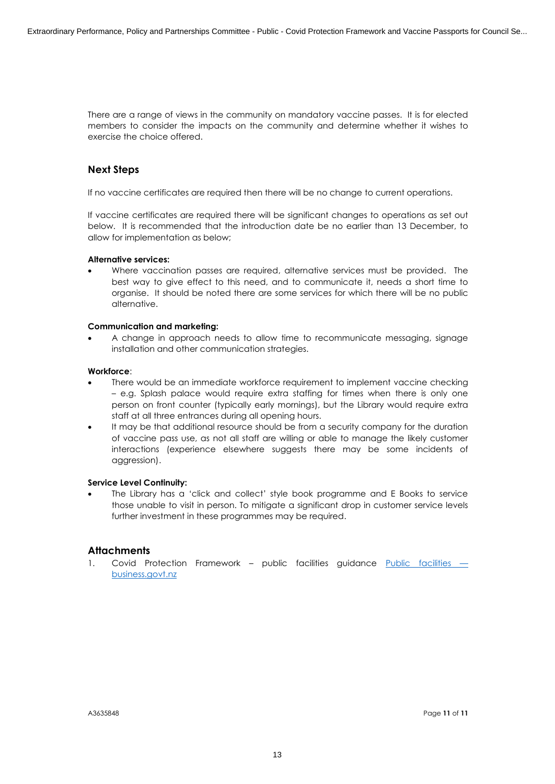There are a range of views in the community on mandatory vaccine passes. It is for elected members to consider the impacts on the community and determine whether it wishes to exercise the choice offered.

## **Next Steps**

If no vaccine certificates are required then there will be no change to current operations.

If vaccine certificates are required there will be significant changes to operations as set out below. It is recommended that the introduction date be no earlier than 13 December, to allow for implementation as below;

#### **Alternative services:**

Where vaccination passes are required, alternative services must be provided. The best way to give effect to this need, and to communicate it, needs a short time to organise. It should be noted there are some services for which there will be no public alternative.

### **Communication and marketing:**

∑ A change in approach needs to allow time to recommunicate messaging, signage installation and other communication strategies.

### **Workforce**:

- There would be an immediate workforce requirement to implement vaccine checking – e.g. Splash palace would require extra staffing for times when there is only one person on front counter (typically early mornings), but the Library would require extra staff at all three entrances during all opening hours.
- It may be that additional resource should be from a security company for the duration of vaccine pass use, as not all staff are willing or able to manage the likely customer interactions (experience elsewhere suggests there may be some incidents of aggression).

### **Service Level Continuity:**

The Library has a 'click and collect' style book programme and E Books to service those unable to visit in person. To mitigate a significant drop in customer service levels further investment in these programmes may be required.

## **Attachments**

1. Covid Protection Framework – public facilities guidance Public facilities – [business.govt.nz](https://www.business.govt.nz/covid-19/covid-19-protection-framework/public-facilities/)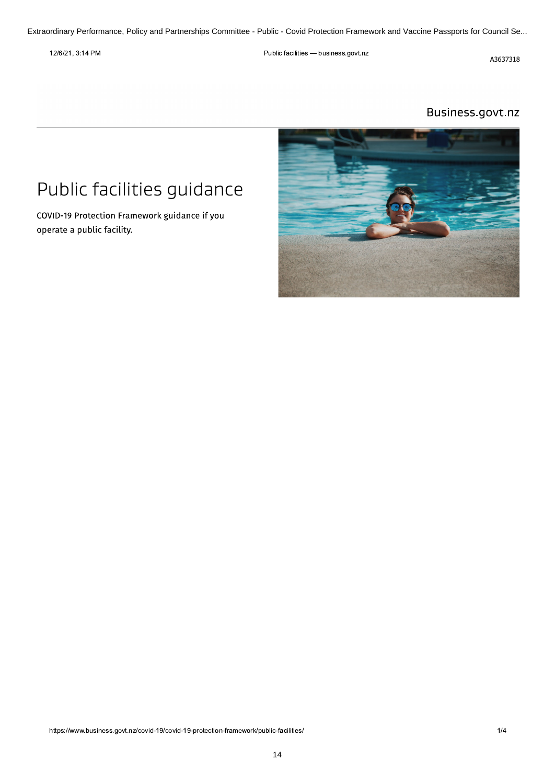<span id="page-13-0"></span> $12/0$  $21, 3.14$  Pr  $\mathbb{R}^n$ 

Public facilities - business.govt.nz

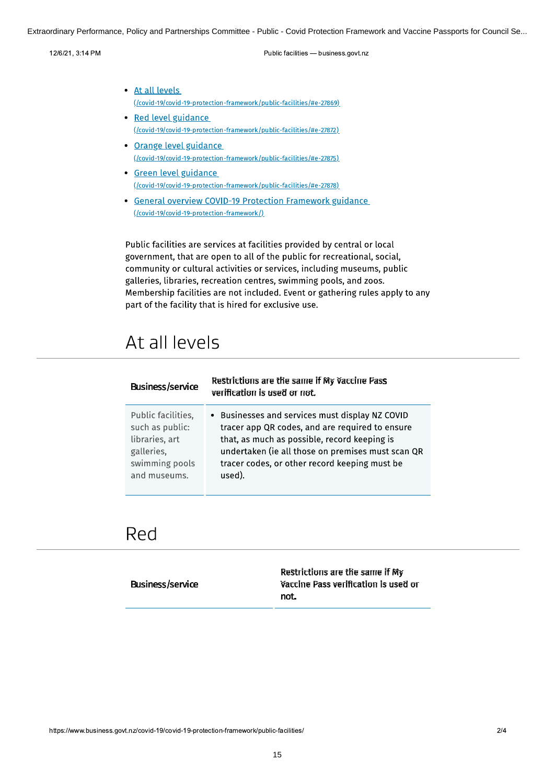Extraordinary Performance, Policy and Partnerships Committee - Public - Covid Protection Framework and Vaccine Passports for Council Se...

 $12/0$  $21, 3.14$  Pr  $\mathbb{R}^n$ 

Public facilities - business.govt.nz

- 
- Friedmand Partnerships Com<br>
12/6/21, 3:14 PM<br>
 At all levels<br>
((covid-19/covid-19-protection-<br>
 Red level guidance<br>
((covid-19/covid-19-protection-<br>
 <u>Orange level guidance</u><br>
((covid-19/covid-19-protection-<br>
 Green lev Public facilities — business.govt.<br>
At all levels<br>
(/covid-19/covid-19-protection-framework/public-facilities/#e-27869)<br>
Red level guidance<br>
(/covid-19/covid-19-protection-framework/public-facilities/#e-27872)<br>
Orange leve • Red level guidance At all levels<br>
(/covid-19/covid-19-protection-framework/public-facilities/#e-27869)<br>
Red level guidance<br>
(/covid-19/covid-19-protection-framework/public-facilities/#e-27872)<br>
Orange level guidance<br>
(/covid-19/covid-19-prot
	- Grange level guidance<br>((covid-19/covid-19-protection-framework/public-facilities/#e-27875)
	- Green level guidance
	- Experiency (/covid-19/covid-19-protection-framework/public-facilities/#e-27869)<br>
	1998 Red Level guidance<br>
	(/covid-19/covid-19-protection-framework/public-facilities/#e-27872)<br>
	2 Orange Level guidance<br>
	(/covid-19/covid-19 Orange level guidance<br>
	(/covid-19/covid-19-protection-framework/public-facilities/#e-27872)<br>
	(/covid-19/covid-19-protection-framework/public-facilities/#e-27875)<br>
	Green level guidance<br>
	(/covid-19/covid-19-protection-framew

Red tevet guidance<br>
(/covid-19/covid-19-protection-framework/public-facilities/#e-27872)<br>
Orange level guidance<br>
(/covid-19/covid-19-protection-framework/public-facilities/#e-27875)<br>
Green level guidance<br>
(/covid-19/covid-Ucovid-19/covid-19-protection-framework/publi<br>
Green level guidance<br>
Ucovid-19/covid-19-protection-framework/publi<br>
General overview COVID-19 Protectic<br>
(Covid-19/covid-19-protection-framework/)<br>
Notic facilities are servi Green level guidance<br>
(*Lovid-19/covid-19-protection-framework/public-facilities/lte-27878)*.<br>
General overview COVID-19 Protection Framework guidance<br>
(*Lovid-19/covid-19-protection-framework/*).<br>
Public facilities are se For the state of the state of the state of the facilities (*Re-27878*)<br>
For the state of the state of the state of the state of the state of the state of the state of the public facilities are services at facilities provi *SEERRE STRE-2008*<br>
SEERRENT OPTONIG-19-protection-framework/public-tacilities/He-2/8/8)<br>
• General overview COVID-19 Protection Framework guidance<br> *(lcovid-19/covid-19-protection-framework/)*<br>
Public facilities are serv From Example Superal overview COVID-19 Protection Framework guidance<br>
((covid-19/covid-19-protection-framework))<br>
Public facilities are services at facilities provided by central or loca<br>
government, that are open to all  $\frac{f_{\text{Covidi-19/covidi-19-protection-frame work/}}{1}}$ <br>
Public facilities are services at facilities provided by central or local<br>
government, that are open to all of the public for recreational, social,<br>
community or cultural activities or se Public facilities are services at facilities provided<br>government, that are open to all of the public for r<br>community or cultural activities or services, include<br>galleries, libraries, recreation centres, swimming p<br>Membersh

# At all levels

| <b>Business/service</b> | Restrictions are the same if My Vaccine Pass<br>verification is used or not. |
|-------------------------|------------------------------------------------------------------------------|
| Public facilities,      | • Businesses and services must display NZ COVID                              |
| such as public:         | tracer app QR codes, and are required to ensure                              |
| libraries, art          | that, as much as possible, record keeping is                                 |
| galleries,              | undertaken (ie all those on premises must scan QR                            |
| swimming pools          | tracer codes, or other record keeping must be                                |
| and museums.            | used).                                                                       |

# Red

| <b>Business/service</b> | Restrictions are the same if My<br>Vaccine Pass verification is used or |
|-------------------------|-------------------------------------------------------------------------|
|                         | not.                                                                    |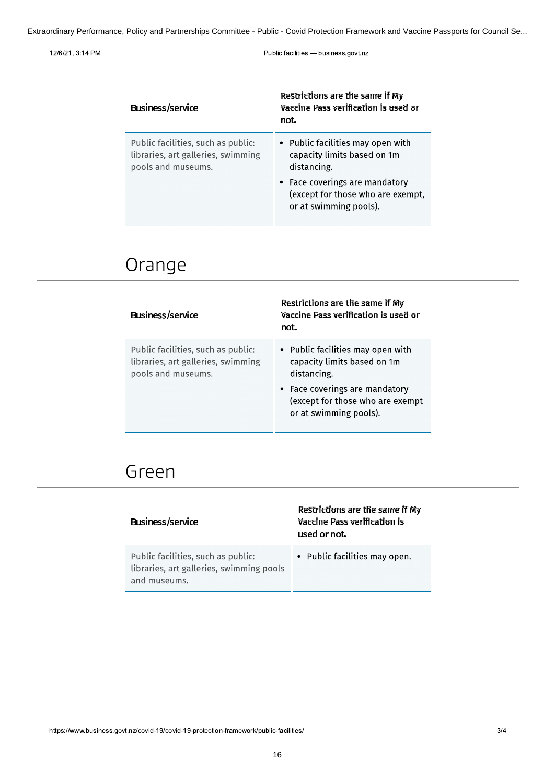#### $12/0$  $21, 3.14$  Pr  $\mathbb{R}^n$

Public facilities - business.govt.nz

| <b>Business/service</b>                                                                        | Restrictions are the same if My<br>Vaccine Pass verification is used or<br>not.                                                                                                  |
|------------------------------------------------------------------------------------------------|----------------------------------------------------------------------------------------------------------------------------------------------------------------------------------|
| Public facilities, such as public:<br>libraries, art galleries, swimming<br>pools and museums. | • Public facilities may open with<br>capacity limits based on 1m<br>distancing.<br>• Face coverings are mandatory<br>(except for those who are exempt,<br>or at swimming pools). |

# Orange

| <b>Business/service</b>                                                                        | Restrictions are the same if My<br>Vaccine Pass verification is used or<br>not.                                                                                                 |
|------------------------------------------------------------------------------------------------|---------------------------------------------------------------------------------------------------------------------------------------------------------------------------------|
| Public facilities, such as public:<br>libraries, art galleries, swimming<br>pools and museums. | • Public facilities may open with<br>capacity limits based on 1m<br>distancing.<br>• Face coverings are mandatory<br>(except for those who are exempt<br>or at swimming pools). |

# Green

| <b>Business/service</b>                                                                        | Restrictions are the same if My<br>Vaccine Pass verification is<br>used or not. |
|------------------------------------------------------------------------------------------------|---------------------------------------------------------------------------------|
| Public facilities, such as public:<br>libraries, art galleries, swimming pools<br>and museums. | • Public facilities may open.                                                   |